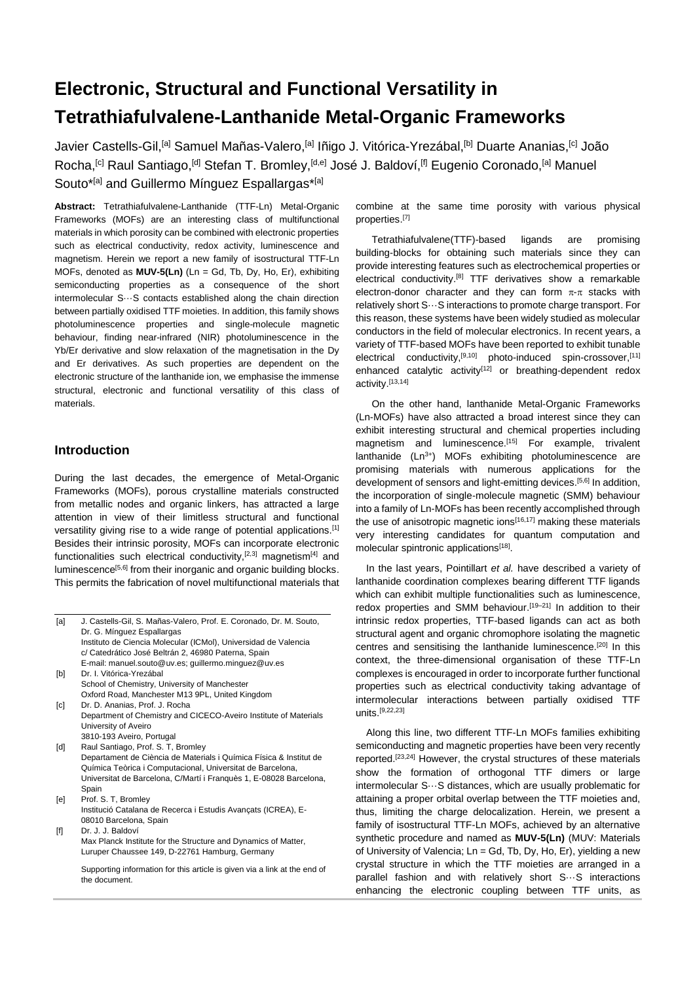# **Electronic, Structural and Functional Versatility in Tetrathiafulvalene-Lanthanide Metal-Organic Frameworks**

Javier Castells-Gil,<sup>[a]</sup> Samuel Mañas-Valero,<sup>[a]</sup> Iñigo J. Vitórica-Yrezábal,<sup>[b]</sup> Duarte Ananias,<sup>[c]</sup> João Rocha,<sup>[c]</sup> Raul Santiago,<sup>[d]</sup> Stefan T. Bromley,<sup>[d,e]</sup> José J. Baldoví,<sup>[f]</sup> Eugenio Coronado,<sup>[a]</sup> Manuel Souto<sup>\*[a]</sup> and Guillermo Mínguez Espallargas<sup>\*[a]</sup>

**Abstract:** Tetrathiafulvalene-Lanthanide (TTF-Ln) Metal-Organic Frameworks (MOFs) are an interesting class of multifunctional materials in which porosity can be combined with electronic properties such as electrical conductivity, redox activity, luminescence and magnetism. Herein we report a new family of isostructural TTF-Ln MOFs, denoted as **MUV-5(Ln)** (Ln = Gd, Tb, Dy, Ho, Er), exhibiting semiconducting properties as a consequence of the short intermolecular S···S contacts established along the chain direction between partially oxidised TTF moieties. In addition, this family shows photoluminescence properties and single-molecule magnetic behaviour, finding near-infrared (NIR) photoluminescence in the Yb/Er derivative and slow relaxation of the magnetisation in the Dy and Er derivatives. As such properties are dependent on the electronic structure of the lanthanide ion, we emphasise the immense structural, electronic and functional versatility of this class of materials.

# **Introduction**

During the last decades, the emergence of Metal-Organic Frameworks (MOFs), porous crystalline materials constructed from metallic nodes and organic linkers, has attracted a large attention in view of their limitless structural and functional versatility giving rise to a wide range of potential applications.<sup>[1]</sup> Besides their intrinsic porosity, MOFs can incorporate electronic functionalities such electrical conductivity,  $[2,3]$  magnetism $[4]$  and luminescence<sup>[5,6]</sup> from their inorganic and organic building blocks. This permits the fabrication of novel multifunctional materials that

| [a]               | J. Castells-Gil, S. Mañas-Valero, Prof. E. Coronado, Dr. M. Souto,<br>Dr. G. Mínguez Espallargas                                                     |
|-------------------|------------------------------------------------------------------------------------------------------------------------------------------------------|
|                   | Instituto de Ciencia Molecular (ICMol), Universidad de Valencia                                                                                      |
|                   | c/ Catedrático José Beltrán 2, 46980 Paterna, Spain                                                                                                  |
|                   | E-mail: manuel.souto@uv.es; guillermo.minguez@uv.es                                                                                                  |
| [b]               | Dr. I. Vitórica-Yrezábal                                                                                                                             |
|                   | School of Chemistry, University of Manchester                                                                                                        |
|                   | Oxford Road, Manchester M13 9PL, United Kingdom                                                                                                      |
| $\lceil c \rceil$ | Dr. D. Ananias, Prof. J. Rocha                                                                                                                       |
|                   | Department of Chemistry and CICECO-Aveiro Institute of Materials                                                                                     |
|                   | University of Aveiro                                                                                                                                 |
|                   | 3810-193 Aveiro, Portugal                                                                                                                            |
| [d]               | Raul Santiago, Prof. S. T. Bromley                                                                                                                   |
|                   | Departament de Ciència de Materials i Química Física & Institut de                                                                                   |
|                   | Química Teòrica i Computacional, Universitat de Barcelona,                                                                                           |
|                   | Universitat de Barcelona, C/Martí i Franquès 1, E-08028 Barcelona,                                                                                   |
|                   | Spain                                                                                                                                                |
| [el]              | Prof. S. T. Bromley                                                                                                                                  |
|                   | Institució Catalana de Recerca i Estudis Avançats (ICREA), E-                                                                                        |
|                   | 08010 Barcelona, Spain                                                                                                                               |
|                   | Dr. J. J. Baldoví                                                                                                                                    |
|                   | $\mathbf{M}$ and $\mathbf{M}$ and $\mathbf{M}$ and $\mathbf{M}$ and $\mathbf{M}$ and $\mathbf{M}$ and $\mathbf{M}$ and $\mathbf{M}$ and $\mathbf{M}$ |

Max Planck Institute for the Structure and Dynamics of Matter, Luruper Chaussee 149, D-22761 Hamburg, Germany

Supporting information for this article is given via a link at the end of the document.

combine at the same time porosity with various physical properties. [7]

Tetrathiafulvalene(TTF)-based ligands are promising building-blocks for obtaining such materials since they can provide interesting features such as electrochemical properties or electrical conductivity.<sup>[8]</sup> TTF derivatives show a remarkable electron-donor character and they can form  $\pi$ - $\pi$  stacks with relatively short S···S interactions to promote charge transport. For this reason, these systems have been widely studied as molecular conductors in the field of molecular electronics. In recent years, a variety of TTF-based MOFs have been reported to exhibit tunable electrical conductivity,<sup>[9,10]</sup> photo-induced spin-crossover,<sup>[11]</sup> enhanced catalytic activity<sup>[12]</sup> or breathing-dependent redox activity.[13,14]

On the other hand, lanthanide Metal-Organic Frameworks (Ln-MOFs) have also attracted a broad interest since they can exhibit interesting structural and chemical properties including magnetism and luminescence.<sup>[15]</sup> For example, trivalent lanthanide (Ln<sup>3+</sup>) MOFs exhibiting photoluminescence are promising materials with numerous applications for the development of sensors and light-emitting devices.<sup>[5,6]</sup> In addition, the incorporation of single-molecule magnetic (SMM) behaviour into a family of Ln-MOFs has been recently accomplished through the use of anisotropic magnetic ions<sup>[16,17]</sup> making these materials very interesting candidates for quantum computation and molecular spintronic applications<sup>[18]</sup>.

In the last years, Pointillart *et al.* have described a variety of lanthanide coordination complexes bearing different TTF ligands which can exhibit multiple functionalities such as luminescence, redox properties and SMM behaviour.<sup>[19-21]</sup> In addition to their intrinsic redox properties, TTF-based ligands can act as both structural agent and organic chromophore isolating the magnetic centres and sensitising the lanthanide luminescence.[20] In this context, the three-dimensional organisation of these TTF-Ln complexes is encouraged in order to incorporate further functional properties such as electrical conductivity taking advantage of intermolecular interactions between partially oxidised TTF units. [9,22,23]

Along this line, two different TTF-Ln MOFs families exhibiting semiconducting and magnetic properties have been very recently reported.<sup>[23,24]</sup> However, the crystal structures of these materials show the formation of orthogonal TTF dimers or large intermolecular S···S distances, which are usually problematic for attaining a proper orbital overlap between the TTF moieties and, thus, limiting the charge delocalization. Herein, we present a family of isostructural TTF-Ln MOFs, achieved by an alternative synthetic procedure and named as **MUV-5(Ln)** (MUV: Materials of University of Valencia; Ln = Gd, Tb, Dy, Ho, Er), yielding a new crystal structure in which the TTF moieties are arranged in a parallel fashion and with relatively short S···S interactions enhancing the electronic coupling between TTF units, as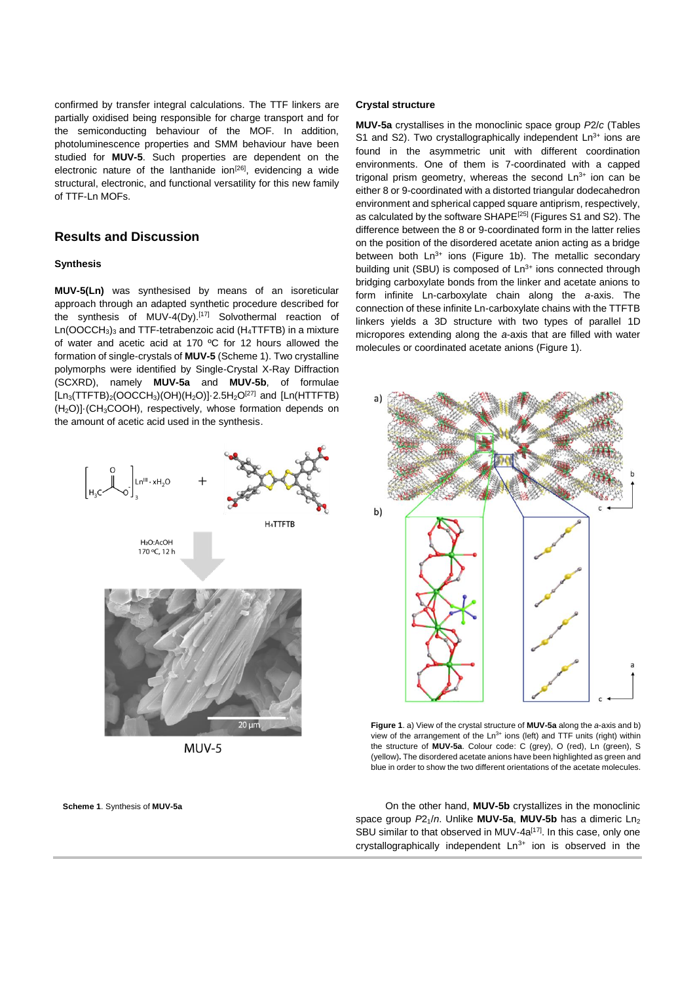confirmed by transfer integral calculations. The TTF linkers are partially oxidised being responsible for charge transport and for the semiconducting behaviour of the MOF. In addition, photoluminescence properties and SMM behaviour have been studied for **MUV-5**. Such properties are dependent on the electronic nature of the lanthanide ion $[26]$ , evidencing a wide structural, electronic, and functional versatility for this new family of TTF-Ln MOFs.

# **Results and Discussion**

## **Synthesis**

**MUV-5(Ln)** was synthesised by means of an isoreticular approach through an adapted synthetic procedure described for the synthesis of MUV-4(Dy).[17] Solvothermal reaction of  $Ln(OOCCH<sub>3</sub>)<sub>3</sub>$  and TTF-tetrabenzoic acid (H<sub>4</sub>TTFTB) in a mixture of water and acetic acid at 170 ºC for 12 hours allowed the formation of single-crystals of **MUV-5** (Scheme 1). Two crystalline polymorphs were identified by Single-Crystal X-Ray Diffraction (SCXRD), namely **MUV-5a** and **MUV-5b**, of formulae  $[Ln_3(TTFTB)_2(OOCCH_3)(OH)(H_2O)]\cdot 2.5H_2O^{[27]}$  and  $[Ln(HTTFTB)$ (H2O)]·(CH3COOH), respectively, whose formation depends on the amount of acetic acid used in the synthesis.



 $MUV-5$ 

**Scheme 1**. Synthesis of **MUV-5a**

## **Crystal structure**

**MUV-5a** crystallises in the monoclinic space group *P*2/*c* (Tables S1 and S2). Two crystallographically independent  $Ln<sup>3+</sup>$  ions are found in the asymmetric unit with different coordination environments. One of them is 7-coordinated with a capped trigonal prism geometry, whereas the second  $Ln<sup>3+</sup>$  ion can be either 8 or 9-coordinated with a distorted triangular dodecahedron environment and spherical capped square antiprism, respectively, as calculated by the software SHAPE[25] (Figures S1 and S2). The difference between the 8 or 9-coordinated form in the latter relies on the position of the disordered acetate anion acting as a bridge between both  $Ln^{3+}$  ions (Figure 1b). The metallic secondary building unit (SBU) is composed of Ln<sup>3+</sup> ions connected through bridging carboxylate bonds from the linker and acetate anions to form infinite Ln-carboxylate chain along the *a*-axis. The connection of these infinite Ln-carboxylate chains with the TTFTB linkers yields a 3D structure with two types of parallel 1D micropores extending along the *a*-axis that are filled with water molecules or coordinated acetate anions (Figure 1).



**Figure 1**. a) View of the crystal structure of **MUV-5a** along the *a*-axis and b) view of the arrangement of the  $Ln^{3+}$  ions (left) and TTF units (right) within the structure of **MUV-5a**. Colour code: C (grey), O (red), Ln (green), S (yellow)**.** The disordered acetate anions have been highlighted as green and blue in order to show the two different orientations of the acetate molecules.

On the other hand, **MUV-5b** crystallizes in the monoclinic space group  $P2_1/n$ . Unlike **MUV-5a**, **MUV-5b** has a dimeric Ln<sub>2</sub> SBU similar to that observed in MUV-4a<sup>[17]</sup>. In this case, only one crystallographically independent  $Ln^{3+}$  ion is observed in the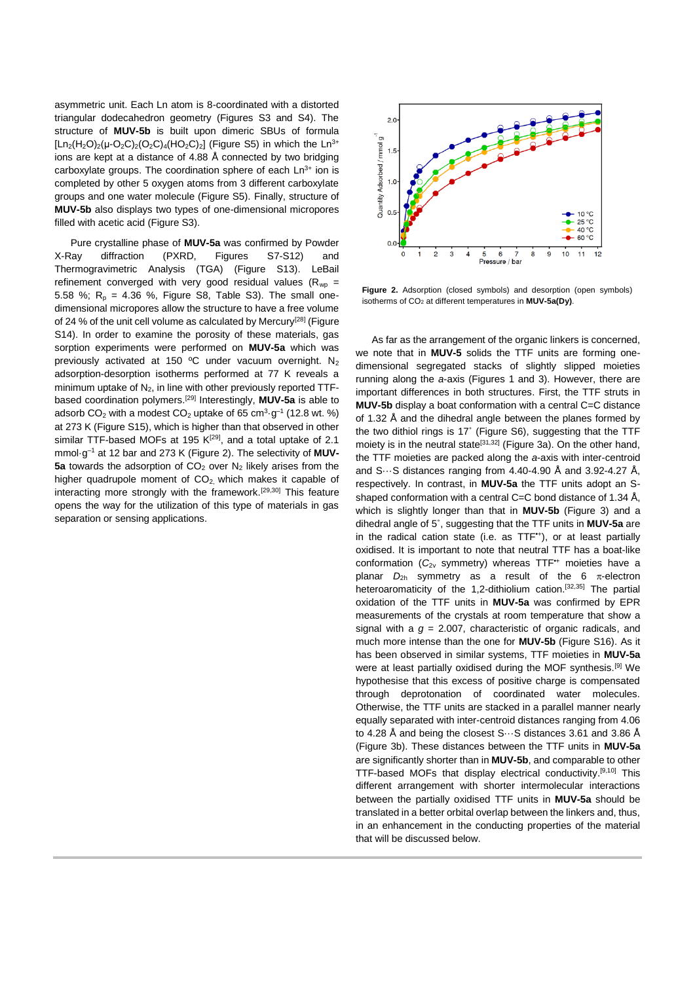asymmetric unit. Each Ln atom is 8-coordinated with a distorted triangular dodecahedron geometry (Figures S3 and S4). The structure of **MUV-5b** is built upon dimeric SBUs of formula  $[Ln_2(H_2O)_2(\mu-O_2C)_2(O_2C)_4(HO_2C)_2]$  (Figure S5) in which the Ln<sup>3+</sup> ions are kept at a distance of 4.88 Å connected by two bridging carboxylate groups. The coordination sphere of each  $Ln<sup>3+</sup>$  ion is completed by other 5 oxygen atoms from 3 different carboxylate groups and one water molecule (Figure S5). Finally, structure of **MUV-5b** also displays two types of one-dimensional micropores filled with acetic acid (Figure S3).

Pure crystalline phase of **MUV-5a** was confirmed by Powder X-Ray diffraction (PXRD, Figures S7-S12) and Thermogravimetric Analysis (TGA) (Figure S13). LeBail refinement converged with very good residual values ( $R_{wp}$  = 5.58 %;  $R_p = 4.36$  %, Figure S8, Table S3). The small onedimensional micropores allow the structure to have a free volume of 24 % of the unit cell volume as calculated by Mercury<sup>[28]</sup> (Figure S14). In order to examine the porosity of these materials, gas sorption experiments were performed on **MUV-5a** which was previously activated at 150 °C under vacuum overnight. N<sub>2</sub> adsorption-desorption isotherms performed at 77 K reveals a minimum uptake of  $N_2$ , in line with other previously reported TTFbased coordination polymers.[29] Interestingly, **MUV-5a** is able to adsorb CO<sub>2</sub> with a modest CO<sub>2</sub> uptake of 65 cm<sup>3</sup> $\cdot$ g<sup>-1</sup> (12.8 wt. %) at 273 K (Figure S15), which is higher than that observed in other similar TTF-based MOFs at 195  $K^{[29]}$ , and a total uptake of 2.1 mmol·g–1 at 12 bar and 273 K (Figure 2). The selectivity of **MUV-5a** towards the adsorption of CO<sub>2</sub> over N<sub>2</sub> likely arises from the higher quadrupole moment of  $CO<sub>2</sub>$  which makes it capable of interacting more strongly with the framework.<sup>[29,30]</sup> This feature opens the way for the utilization of this type of materials in gas separation or sensing applications.



**Figure 2.** Adsorption (closed symbols) and desorption (open symbols) isotherms of CO<sup>2</sup> at different temperatures in **MUV-5a(Dy)**.

As far as the arrangement of the organic linkers is concerned, we note that in **MUV-5** solids the TTF units are forming onedimensional segregated stacks of slightly slipped moieties running along the *a*-axis (Figures 1 and 3). However, there are important differences in both structures. First, the TTF struts in **MUV-5b** display a boat conformation with a central C=C distance of 1.32 Å and the dihedral angle between the planes formed by the two dithiol rings is 17˚ (Figure S6), suggesting that the TTF moiety is in the neutral state<sup>[31,32]</sup> (Figure 3a). On the other hand, the TTF moieties are packed along the *a*-axis with inter-centroid and  $S...S$  distances ranging from 4.40-4.90 Å and 3.92-4.27 Å, respectively. In contrast, in **MUV-5a** the TTF units adopt an Sshaped conformation with a central C=C bond distance of 1.34 Å, which is slightly longer than that in **MUV-5b** (Figure 3) and a dihedral angle of 5˚, suggesting that the TTF units in **MUV-5a** are in the radical cation state (i.e. as TTF**•**<sup>+</sup> ), or at least partially oxidised. It is important to note that neutral TTF has a boat-like conformation (*C*2v symmetry) whereas TTF**•**<sup>+</sup> moieties have a planar  $D_{2h}$  symmetry as a result of the 6  $\pi$ -electron heteroaromaticity of the 1,2-dithiolium cation.<sup>[32,35]</sup> The partial oxidation of the TTF units in **MUV-5a** was confirmed by EPR measurements of the crystals at room temperature that show a signal with a *g* = 2.007, characteristic of organic radicals, and much more intense than the one for **MUV-5b** (Figure S16). As it has been observed in similar systems, TTF moieties in **MUV-5a** were at least partially oxidised during the MOF synthesis.[9] We hypothesise that this excess of positive charge is compensated through deprotonation of coordinated water molecules. Otherwise, the TTF units are stacked in a parallel manner nearly equally separated with inter-centroid distances ranging from 4.06 to 4.28 Å and being the closest S···S distances 3.61 and 3.86 Å (Figure 3b). These distances between the TTF units in **MUV-5a**  are significantly shorter than in **MUV-5b**, and comparable to other TTF-based MOFs that display electrical conductivity. [9,10] This different arrangement with shorter intermolecular interactions between the partially oxidised TTF units in **MUV-5a** should be translated in a better orbital overlap between the linkers and, thus, in an enhancement in the conducting properties of the material that will be discussed below.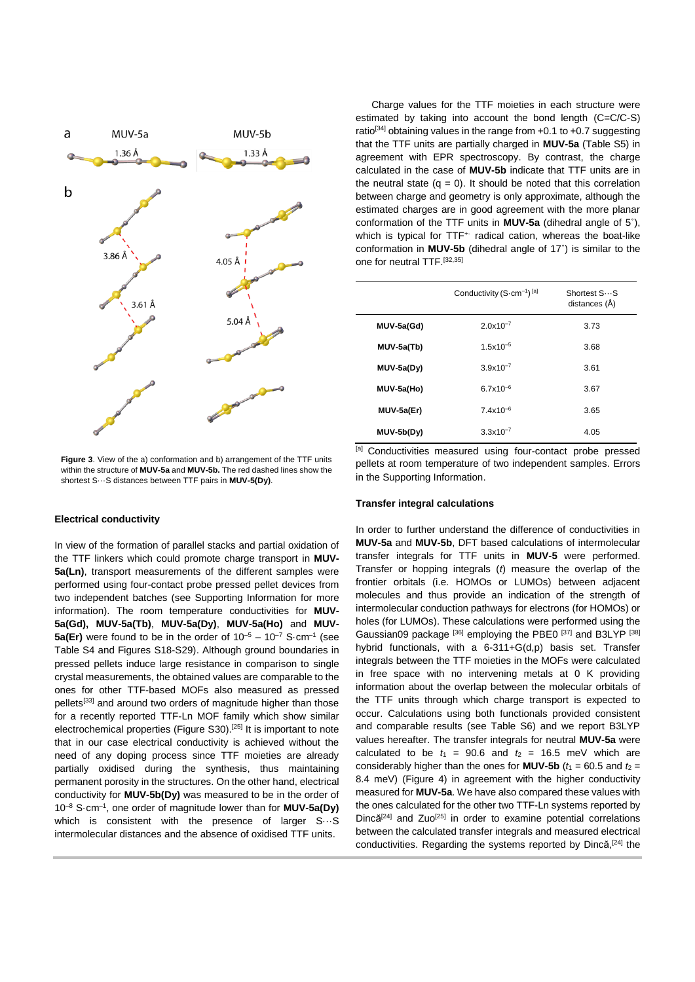

**Figure 3**. View of the a) conformation and b) arrangement of the TTF units within the structure of **MUV-5a** and **MUV-5b.** The red dashed lines show the shortest S···S distances between TTF pairs in **MUV-5(Dy)**.

## **Electrical conductivity**

In view of the formation of parallel stacks and partial oxidation of the TTF linkers which could promote charge transport in **MUV-5a(Ln)**, transport measurements of the different samples were performed using four-contact probe pressed pellet devices from two independent batches (see Supporting Information for more information). The room temperature conductivities for **MUV-5a(Gd), MUV-5a(Tb)**, **MUV-5a(Dy)**, **MUV-5a(Ho)** and **MUV-5a(Er)** were found to be in the order of  $10^{-5} - 10^{-7}$  S·cm<sup>-1</sup> (see Table S4 and Figures S18-S29). Although ground boundaries in pressed pellets induce large resistance in comparison to single crystal measurements, the obtained values are comparable to the ones for other TTF-based MOFs also measured as pressed pellets<sup>[33]</sup> and around two orders of magnitude higher than those for a recently reported TTF-Ln MOF family which show similar electrochemical properties (Figure S30).<sup>[25]</sup> It is important to note that in our case electrical conductivity is achieved without the need of any doping process since TTF moieties are already partially oxidised during the synthesis, thus maintaining permanent porosity in the structures. On the other hand, electrical conductivity for **MUV-5b(Dy)** was measured to be in the order of 10–8 S·cm–1 , one order of magnitude lower than for **MUV-5a(Dy)** which is consistent with the presence of larger S···S intermolecular distances and the absence of oxidised TTF units.

Charge values for the TTF moieties in each structure were estimated by taking into account the bond length (C=C/C-S) ratio<sup>[34]</sup> obtaining values in the range from  $+0.1$  to  $+0.7$  suggesting that the TTF units are partially charged in **MUV-5a** (Table S5) in agreement with EPR spectroscopy. By contrast, the charge calculated in the case of **MUV-5b** indicate that TTF units are in the neutral state  $(q = 0)$ . It should be noted that this correlation between charge and geometry is only approximate, although the estimated charges are in good agreement with the more planar conformation of the TTF units in **MUV-5a** (dihedral angle of 5˚), which is typical for TTF<sup>+</sup> radical cation, whereas the boat-like conformation in **MUV-5b** (dihedral angle of 17˚) is similar to the one for neutral TTF.[32,35]

|              | Conductivity $(S\text{-}cm^{-1})$ <sup>[a]</sup> | Shortest SS<br>distances (Å) |
|--------------|--------------------------------------------------|------------------------------|
| MUV-5a(Gd)   | $2.0x10^{-7}$                                    | 3.73                         |
| MUV-5a(Tb)   | $1.5x10^{-5}$                                    | 3.68                         |
| $MUV-5a(Dy)$ | $3.9x10^{-7}$                                    | 3.61                         |
| MUV-5a(Ho)   | $6.7x10^{-6}$                                    | 3.67                         |
| MUV-5a(Er)   | $7.4x10^{-6}$                                    | 3.65                         |
| $MUV-5b(Dy)$ | $3.3x10^{-7}$                                    | 4.05                         |

[a] Conductivities measured using four-contact probe pressed pellets at room temperature of two independent samples. Errors in the Supporting Information.

## **Transfer integral calculations**

In order to further understand the difference of conductivities in **MUV-5a** and **MUV-5b**, DFT based calculations of intermolecular transfer integrals for TTF units in **MUV-5** were performed. Transfer or hopping integrals (*t*) measure the overlap of the frontier orbitals (i.e. HOMOs or LUMOs) between adjacent molecules and thus provide an indication of the strength of intermolecular conduction pathways for electrons (for HOMOs) or holes (for LUMOs). These calculations were performed using the Gaussian09 package <sup>[36]</sup> employing the PBE0<sup>[37]</sup> and B3LYP<sup>[38]</sup> hybrid functionals, with a 6-311+G(d,p) basis set. Transfer integrals between the TTF moieties in the MOFs were calculated in free space with no intervening metals at 0 K providing information about the overlap between the molecular orbitals of the TTF units through which charge transport is expected to occur. Calculations using both functionals provided consistent and comparable results (see Table S6) and we report B3LYP values hereafter. The transfer integrals for neutral **MUV-5a** were calculated to be  $t_1 = 90.6$  and  $t_2 = 16.5$  meV which are considerably higher than the ones for **MUV-5b** ( $t_1 = 60.5$  and  $t_2 =$ 8.4 meV) (Figure 4) in agreement with the higher conductivity measured for **MUV-5a**. We have also compared these values with the ones calculated for the other two TTF-Ln systems reported by Dincă<sup>[24]</sup> and Zuo<sup>[25]</sup> in order to examine potential correlations between the calculated transfer integrals and measured electrical conductivities. Regarding the systems reported by Dincă,<sup>[24]</sup> the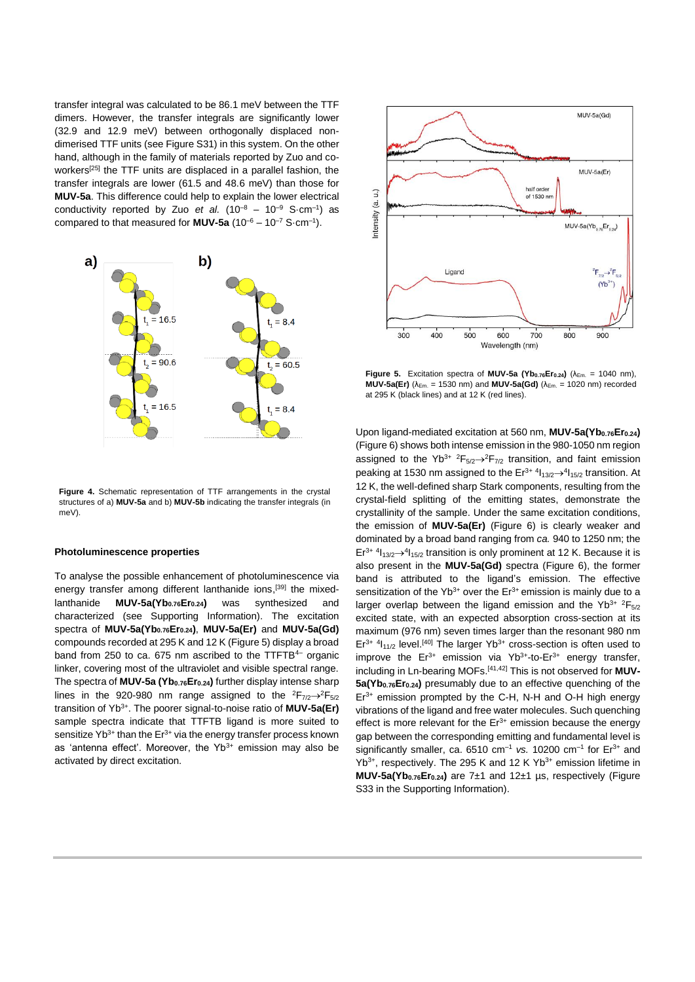transfer integral was calculated to be 86.1 meV between the TTF dimers. However, the transfer integrals are significantly lower (32.9 and 12.9 meV) between orthogonally displaced nondimerised TTF units (see Figure S31) in this system. On the other hand, although in the family of materials reported by Zuo and coworkers<sup>[25]</sup> the TTF units are displaced in a parallel fashion, the transfer integrals are lower (61.5 and 48.6 meV) than those for **MUV-5a**. This difference could help to explain the lower electrical conductivity reported by Zuo *et al.*  $(10^{-8} - 10^{-9} S \cdot cm^{-1})$  as compared to that measured for **MUV-5a**  $(10^{-6} - 10^{-7} S \cdot cm^{-1})$ .



**Figure 4.** Schematic representation of TTF arrangements in the crystal structures of a) **MUV-5a** and b) **MUV-5b** indicating the transfer integrals (in meV).

#### **Photoluminescence properties**

To analyse the possible enhancement of photoluminescence via energy transfer among different lanthanide ions,<sup>[39]</sup> the mixedlanthanide **MUV-5a(Yb0.76Er0.24)** was synthesized and characterized (see Supporting Information). The excitation spectra of **MUV-5a(Yb0.76Er0.24)**, **MUV-5a(Er)** and **MUV-5a(Gd)** compounds recorded at 295 K and 12 K (Figure 5) display a broad band from 250 to ca. 675 nm ascribed to the TTFTB<sup>4-</sup> organic linker, covering most of the ultraviolet and visible spectral range. The spectra of **MUV-5a (Yb0.76Er0.24)** further display intense sharp lines in the 920-980 nm range assigned to the  ${}^{2}F_{7/2} \rightarrow {}^{2}F_{5/2}$ transition of Yb3+. The poorer signal-to-noise ratio of **MUV-5a(Er)** sample spectra indicate that TTFTB ligand is more suited to sensitize  $Yb^{3+}$  than the  $Er^{3+}$  via the energy transfer process known as 'antenna effect'. Moreover, the  $Yb^{3+}$  emission may also be activated by direct excitation.



**Figure 5.** Excitation spectra of **MUV-5a (Yb**<sub>0.76</sub> $\mathsf{Er}_{0.24}$ ) ( $\lambda_{\text{Em}} = 1040$  nm), **MUV-5a(Er)** (λEm. = 1530 nm) and **MUV-5a(Gd)** (λEm. = 1020 nm) recorded at 295 K (black lines) and at 12 K (red lines).

Upon ligand-mediated excitation at 560 nm, **MUV-5a(Yb0.76Er0.24)** (Figure 6) shows both intense emission in the 980-1050 nm region assigned to the Yb<sup>3+</sup> <sup>2</sup>F<sub>5/2</sub> $\rightarrow$ <sup>2</sup>F<sub>7/2</sub> transition, and faint emission peaking at 1530 nm assigned to the  $Er^{3+4}1_{13/2} \rightarrow ^41_{15/2}$  transition. At 12 K, the well-defined sharp Stark components, resulting from the crystal-field splitting of the emitting states, demonstrate the crystallinity of the sample. Under the same excitation conditions, the emission of **MUV-5a(Er)** (Figure 6) is clearly weaker and dominated by a broad band ranging from *ca.* 940 to 1250 nm; the  $Er<sup>3+</sup> 4<sub>13/2</sub> \rightarrow <sup>4</sup>1<sub>15/2</sub>$  transition is only prominent at 12 K. Because it is also present in the **MUV-5a(Gd)** spectra (Figure 6), the former band is attributed to the ligand's emission. The effective sensitization of the Yb<sup>3+</sup> over the Er<sup>3+</sup> emission is mainly due to a larger overlap between the ligand emission and the Yb<sup>3+ 2</sup>F<sub>5/2</sub> excited state, with an expected absorption cross-section at its maximum (976 nm) seven times larger than the resonant 980 nm  $Er<sup>3+</sup> 4I<sub>11/2</sub>$  level.<sup>[40]</sup> The larger Yb<sup>3+</sup> cross-section is often used to improve the  $Er^{3+}$  emission via Yb<sup>3+</sup>-to-Er<sup>3+</sup> energy transfer, including in Ln-bearing MOFs. [41,42] This is not observed for **MUV-5a(Yb0.76Er0.24)** presumably due to an effective quenching of the  $Er<sup>3+</sup>$  emission prompted by the C-H, N-H and O-H high energy vibrations of the ligand and free water molecules. Such quenching effect is more relevant for the  $Er<sup>3+</sup>$  emission because the energy gap between the corresponding emitting and fundamental level is significantly smaller, ca.  $6510 \text{ cm}^{-1}$  vs. 10200  $\text{cm}^{-1}$  for  $\text{Er}^{3+}$  and  $Yb^{3+}$ , respectively. The 295 K and 12 K  $Yb^{3+}$  emission lifetime in **MUV-5a(Yb0.76Er0.24)** are 7±1 and 12±1 µs, respectively (Figure S33 in the Supporting Information).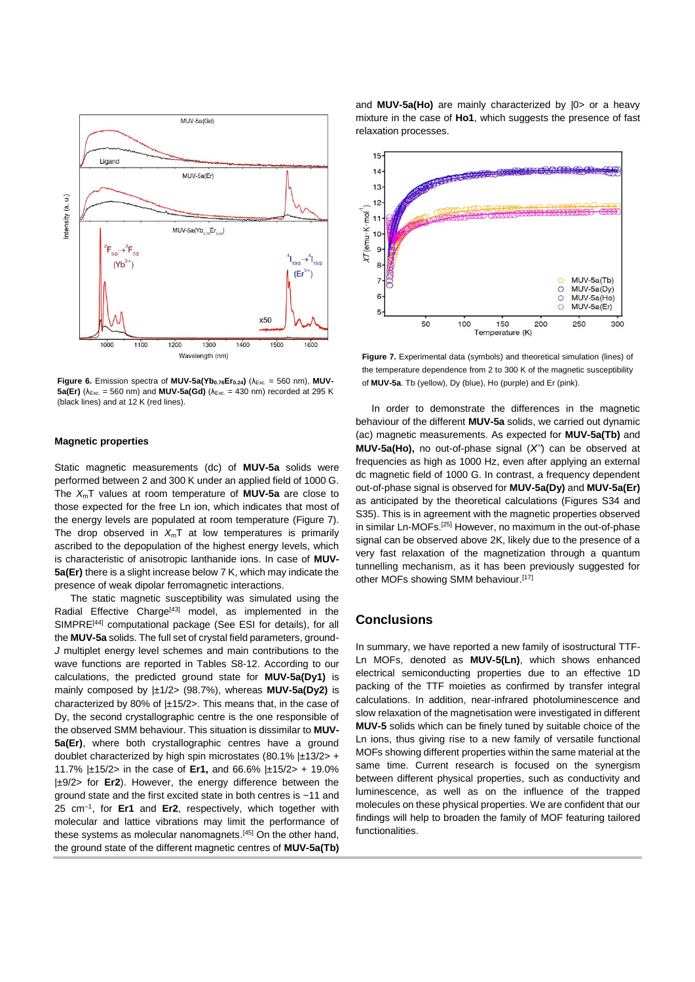

**Figure 6.** Emission spectra of **MUV-5a(Yb**<sub>0.76</sub>**Er**<sub>0.24</sub>**)** ( $\lambda$ <sub>Exc.</sub> = 560 nm), **MUV-5a(Er)** ( $\lambda_{Exc.}$  = 560 nm) and **MUV-5a(Gd)** ( $\lambda_{Exc.}$  = 430 nm) recorded at 295 K (black lines) and at 12 K (red lines).

## **Magnetic properties**

Static magnetic measurements (dc) of **MUV-5a** solids were performed between 2 and 300 K under an applied field of 1000 G. The *X*mT values at room temperature of **MUV-5a** are close to those expected for the free Ln ion, which indicates that most of the energy levels are populated at room temperature (Figure 7). The drop observed in  $X_mT$  at low temperatures is primarily ascribed to the depopulation of the highest energy levels, which is characteristic of anisotropic lanthanide ions. In case of **MUV-5a(Er)** there is a slight increase below 7 K, which may indicate the presence of weak dipolar ferromagnetic interactions.

The static magnetic susceptibility was simulated using the Radial Effective Charge<sup>[43]</sup> model, as implemented in the SIMPRE<sup>[44]</sup> computational package (See ESI for details), for all the **MUV-5a** solids. The full set of crystal field parameters, ground-*J* multiplet energy level schemes and main contributions to the wave functions are reported in Tables S8-12. According to our calculations, the predicted ground state for **MUV-5a(Dy1)** is mainly composed by |±1/2> (98.7%), whereas **MUV-5a(Dy2)** is characterized by 80% of |±15/2>. This means that, in the case of Dy, the second crystallographic centre is the one responsible of the observed SMM behaviour. This situation is dissimilar to **MUV-5a(Er)**, where both crystallographic centres have a ground doublet characterized by high spin microstates  $(80.1\% \pm 13/2)$  + 11.7% |±15/2> in the case of **Er1,** and 66.6% |±15/2> + 19.0% |±9/2> for **Er2**). However, the energy difference between the ground state and the first excited state in both centres is ~11 and 25 cm–1 , for **Er1** and **Er2**, respectively, which together with molecular and lattice vibrations may limit the performance of these systems as molecular nanomagnets. [45] On the other hand, the ground state of the different magnetic centres of **MUV-5a(Tb)**

and **MUV-5a(Ho)** are mainly characterized by |0> or a heavy mixture in the case of **Ho1**, which suggests the presence of fast relaxation processes.



**Figure 7.** Experimental data (symbols) and theoretical simulation (lines) of the temperature dependence from 2 to 300 K of the magnetic susceptibility of **MUV-5a**. Tb (yellow), Dy (blue), Ho (purple) and Er (pink).

In order to demonstrate the differences in the magnetic behaviour of the different **MUV-5a** solids, we carried out dynamic (ac) magnetic measurements. As expected for **MUV-5a(Tb)** and **MUV-5a(Ho),** no out-of-phase signal (*X''*) can be observed at frequencies as high as 1000 Hz, even after applying an external dc magnetic field of 1000 G. In contrast, a frequency dependent out-of-phase signal is observed for **MUV-5a(Dy)** and **MUV-5a(Er)**  as anticipated by the theoretical calculations (Figures S34 and S35). This is in agreement with the magnetic properties observed in similar Ln-MOFs.[25] However, no maximum in the out-of-phase signal can be observed above 2K, likely due to the presence of a very fast relaxation of the magnetization through a quantum tunnelling mechanism, as it has been previously suggested for other MOFs showing SMM behaviour.[17]

# **Conclusions**

In summary, we have reported a new family of isostructural TTF-Ln MOFs, denoted as **MUV-5(Ln)**, which shows enhanced electrical semiconducting properties due to an effective 1D packing of the TTF moieties as confirmed by transfer integral calculations. In addition, near-infrared photoluminescence and slow relaxation of the magnetisation were investigated in different **MUV-5** solids which can be finely tuned by suitable choice of the Ln ions, thus giving rise to a new family of versatile functional MOFs showing different properties within the same material at the same time. Current research is focused on the synergism between different physical properties, such as conductivity and luminescence, as well as on the influence of the trapped molecules on these physical properties. We are confident that our findings will help to broaden the family of MOF featuring tailored functionalities.